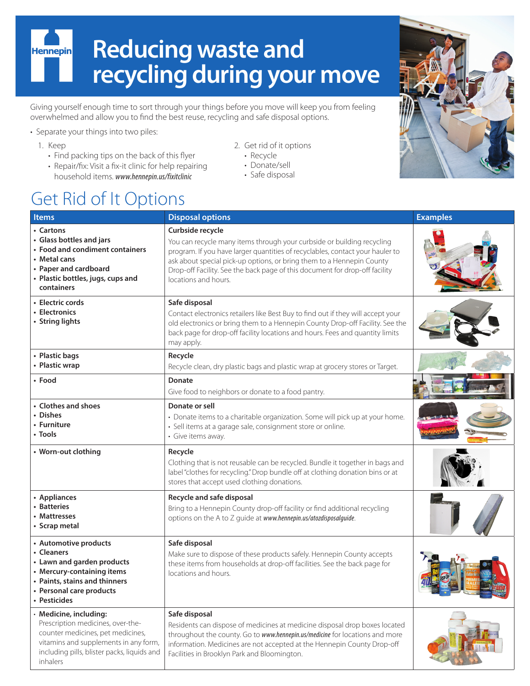# **Reducing waste and Hennepin recycling during your move**

Giving yourself enough time to sort through your things before you move will keep you from feeling overwhelmed and allow you to find the best reuse, recycling and safe disposal options.

- Separate your things into two piles:
	- 1. Keep
		- Find packing tips on the back of this flyer
		- Repair/fix: Visit a fix-it clinic for help repairing household items. *www.hennepin.us/fixitclinic*
- 2. Get rid of it options
	- Recycle
- Donate/sell
- Safe disposal

# Get Rid of It Options

#### **Items Disposal options Examples • Cartons • Glass bottles and jars • Food and condiment containers • Metal cans • Paper and cardboard • Plastic bottles, jugs, cups and containers Curbside recycle** You can recycle many items through your curbside or building recycling program. If you have larger quantities of recyclables, contact your hauler to ask about special pick-up options, or bring them to a Hennepin County Drop-off Facility. See the back page of this document for drop-off facility locations and hours. **• Electric cords • Electronics • String lights Safe disposal** Contact electronics retailers like Best Buy to find out if they will accept your old electronics or bring them to a Hennepin County Drop-off Facility. See the back page for drop-off facility locations and hours. Fees and quantity limits may apply. **• Plastic bags • Plastic wrap Recycle** Recycle clean, dry plastic bags and plastic wrap at grocery stores or Target. **• Food Donate** Give food to neighbors or donate to a food pantry. **• Clothes and shoes • Dishes • Furniture • Tools Donate or sell** • Donate items to a charitable organization. Some will pick up at your home. • Sell items at a garage sale, consignment store or online. • Give items away. • Worn-out clothing  $\vert$  Recycle Clothing that is not reusable can be recycled. Bundle it together in bags and label "clothes for recycling." Drop bundle off at clothing donation bins or at stores that accept used clothing donations. **• Appliances • Batteries • Mattresses • Scrap metal Recycle and safe disposal** Bring to a Hennepin County drop-off facility or find additional recycling options on the A to Z guide at *www.hennepin.us/atozdisposalguide*. **• Automotive products • Cleaners • Lawn and garden products • Mercury-containing items • Paints, stains and thinners • Personal care products • Pesticides Safe disposal** Make sure to dispose of these products safely. Hennepin County accepts these items from households at drop-off facilities. See the back page for locations and hours. • **Medicine, including:**  Prescription medicines, over-thecounter medicines, pet medicines, vitamins and supplements in any form, including pills, blister packs, liquids and inhalers **Safe disposal** Residents can dispose of medicines at medicine disposal drop boxes located throughout the county. Go to *www.hennepin.us/medicine* for locations and more information. Medicines are not accepted at the Hennepin County Drop-off Facilities in Brooklyn Park and Bloomington.